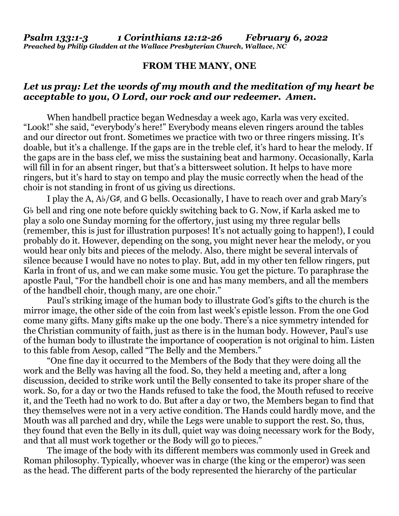## **FROM THE MANY, ONE**

## *Let us pray: Let the words of my mouth and the meditation of my heart be acceptable to you, O Lord, our rock and our redeemer. Amen.*

When handbell practice began Wednesday a week ago, Karla was very excited. "Look!" she said, "everybody's here!" Everybody means eleven ringers around the tables and our director out front. Sometimes we practice with two or three ringers missing. It's doable, but it's a challenge. If the gaps are in the treble clef, it's hard to hear the melody. If the gaps are in the bass clef, we miss the sustaining beat and harmony. Occasionally, Karla will fill in for an absent ringer, but that's a bittersweet solution. It helps to have more ringers, but it's hard to stay on tempo and play the music correctly when the head of the choir is not standing in front of us giving us directions.

 I play the A, A♭/G♯, and G bells. Occasionally, I have to reach over and grab Mary's G♭ bell and ring one note before quickly switching back to G. Now, if Karla asked me to play a solo one Sunday morning for the offertory, just using my three regular bells (remember, this is just for illustration purposes! It's not actually going to happen!), I could probably do it. However, depending on the song, you might never hear the melody, or you would hear only bits and pieces of the melody. Also, there might be several intervals of silence because I would have no notes to play. But, add in my other ten fellow ringers, put Karla in front of us, and we can make some music. You get the picture. To paraphrase the apostle Paul, "For the handbell choir is one and has many members, and all the members of the handbell choir, though many, are one choir."

 Paul's striking image of the human body to illustrate God's gifts to the church is the mirror image, the other side of the coin from last week's epistle lesson. From the one God come many gifts. Many gifts make up the one body. There's a nice symmetry intended for the Christian community of faith, just as there is in the human body. However, Paul's use of the human body to illustrate the importance of cooperation is not original to him. Listen to this fable from Aesop, called "The Belly and the Members."

 "One fine day it occurred to the Members of the Body that they were doing all the work and the Belly was having all the food. So, they held a meeting and, after a long discussion, decided to strike work until the Belly consented to take its proper share of the work. So, for a day or two the Hands refused to take the food, the Mouth refused to receive it, and the Teeth had no work to do. But after a day or two, the Members began to find that they themselves were not in a very active condition. The Hands could hardly move, and the Mouth was all parched and dry, while the Legs were unable to support the rest. So, thus, they found that even the Belly in its dull, quiet way was doing necessary work for the Body, and that all must work together or the Body will go to pieces."

The image of the body with its different members was commonly used in Greek and Roman philosophy. Typically, whoever was in charge (the king or the emperor) was seen as the head. The different parts of the body represented the hierarchy of the particular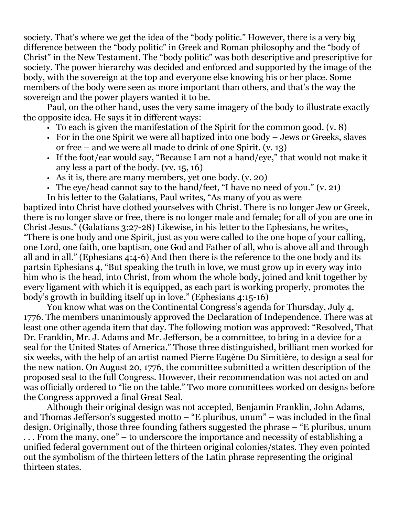society. That's where we get the idea of the "body politic." However, there is a very big difference between the "body politic" in Greek and Roman philosophy and the "body of Christ" in the New Testament. The "body politic" was both descriptive and prescriptive for society. The power hierarchy was decided and enforced and supported by the image of the body, with the sovereign at the top and everyone else knowing his or her place. Some members of the body were seen as more important than others, and that's the way the sovereign and the power players wanted it to be.

 Paul, on the other hand, uses the very same imagery of the body to illustrate exactly the opposite idea. He says it in different ways:

- $\cdot$  To each is given the manifestation of the Spirit for the common good. (v. 8)
- For in the one Spirit we were all baptized into one body Jews or Greeks, slaves or free – and we were all made to drink of one Spirit. (v. 13)
- If the foot/ear would say, "Because I am not a hand/eye," that would not make it any less a part of the body. (vv. 15, 16)
- As it is, there are many members, yet one body. (v. 20)
- The eye/head cannot say to the hand/feet, "I have no need of you." (v. 21)

In his letter to the Galatians, Paul writes, "As many of you as were

baptized into Christ have clothed yourselves with Christ. There is no longer Jew or Greek, there is no longer slave or free, there is no longer male and female; for all of you are one in Christ Jesus." (Galatians 3:27-28) Likewise, in his letter to the Ephesians, he writes, "There is one body and one Spirit, just as you were called to the one hope of your calling, one Lord, one faith, one baptism, one God and Father of all, who is above all and through all and in all." (Ephesians 4:4-6) And then there is the reference to the one body and its partsin Ephesians 4, "But speaking the truth in love, we must grow up in every way into him who is the head, into Christ, from whom the whole body, joined and knit together by every ligament with which it is equipped, as each part is working properly, promotes the body's growth in building itself up in love." (Ephesians 4:15-16)

 You know what was on the Continental Congress's agenda for Thursday, July 4, 1776. The members unanimously approved the Declaration of Independence. There was at least one other agenda item that day. The following motion was approved: "Resolved, That Dr. Franklin, Mr. J. Adams and Mr. Jefferson, be a committee, to bring in a device for a seal for the United States of America." Those three distinguished, brilliant men worked for six weeks, with the help of an artist named Pierre Eugène Du Simitière, to design a seal for the new nation. On August 20, 1776, the committee submitted a written description of the proposed seal to the full Congress. However, their recommendation was not acted on and was officially ordered to "lie on the table." Two more committees worked on designs before the Congress approved a final Great Seal.

 Although their original design was not accepted, Benjamin Franklin, John Adams, and Thomas Jefferson's suggested motto – "E pluribus, unum" – was included in the final design. Originally, those three founding fathers suggested the phrase – "E pluribus, unum . . . From the many, one" – to underscore the importance and necessity of establishing a unified federal government out of the thirteen original colonies/states. They even pointed out the symbolism of the thirteen letters of the Latin phrase representing the original thirteen states.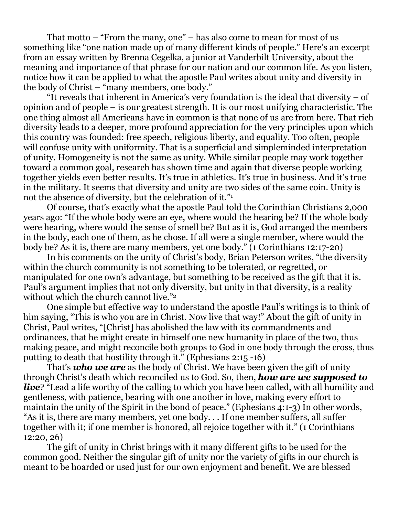That motto – "From the many, one" – has also come to mean for most of us something like "one nation made up of many different kinds of people." Here's an excerpt from an essay written by Brenna Cegelka, a junior at Vanderbilt University, about the meaning and importance of that phrase for our nation and our common life. As you listen, notice how it can be applied to what the apostle Paul writes about unity and diversity in the body of Christ – "many members, one body."

 "It reveals that inherent in America's very foundation is the ideal that diversity – of opinion and of people – is our greatest strength. It is our most unifying characteristic. The one thing almost all Americans have in common is that none of us are from here. That rich diversity leads to a deeper, more profound appreciation for the very principles upon which this country was founded: free speech, religious liberty, and equality. Too often, people will confuse unity with uniformity. That is a superficial and simpleminded interpretation of unity. Homogeneity is not the same as unity. While similar people may work together toward a common goal, research has shown time and again that diverse people working together yields even better results. It's true in athletics. It's true in business. And it's true in the military. It seems that diversity and unity are two sides of the same coin. Unity is not the absence of diversity, but the celebration of it."<sup>1</sup>

 Of course, that's exactly what the apostle Paul told the Corinthian Christians 2,000 years ago: "If the whole body were an eye, where would the hearing be? If the whole body were hearing, where would the sense of smell be? But as it is, God arranged the members in the body, each one of them, as he chose. If all were a single member, where would the body be? As it is, there are many members, yet one body." (1 Corinthians 12:17-20)

 In his comments on the unity of Christ's body, Brian Peterson writes, "the diversity within the church community is not something to be tolerated, or regretted, or manipulated for one own's advantage, but something to be received as the gift that it is. Paul's argument implies that not only diversity, but unity in that diversity, is a reality without which the church cannot live."2

 One simple but effective way to understand the apostle Paul's writings is to think of him saying, "This is who you are in Christ. Now live that way!" About the gift of unity in Christ, Paul writes, "[Christ] has abolished the law with its commandments and ordinances, that he might create in himself one new humanity in place of the two, thus making peace, and might reconcile both groups to God in one body through the cross, thus putting to death that hostility through it." (Ephesians 2:15 -16)

 That's *who we are* as the body of Christ. We have been given the gift of unity through Christ's death which reconciled us to God. So, then, *how are we supposed to live*? "Lead a life worthy of the calling to which you have been called, with all humility and gentleness, with patience, bearing with one another in love, making every effort to maintain the unity of the Spirit in the bond of peace." (Ephesians 4:1-3) In other words, "As it is, there are many members, yet one body. . . If one member suffers, all suffer together with it; if one member is honored, all rejoice together with it." (1 Corinthians 12:20, 26)

The gift of unity in Christ brings with it many different gifts to be used for the common good. Neither the singular gift of unity nor the variety of gifts in our church is meant to be hoarded or used just for our own enjoyment and benefit. We are blessed